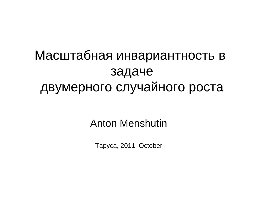## Масштабная инвариантность в задаче двумерного случайного роста

#### Anton Menshutin

Таруса, 2011, October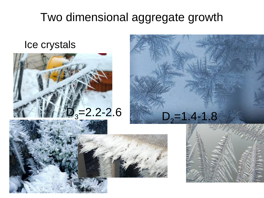#### Ice crystals





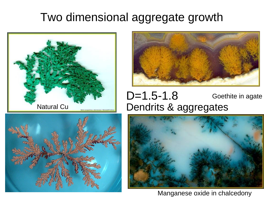





#### Natural Cu **Dendrits & aggregates** Goethite in agate D=1.5-1.8



Manganese oxide in chalcedony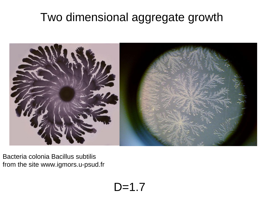

Bacteria colonia Bacillus subtilis from the site www.igmors.u-psud.fr

 $D=1.7$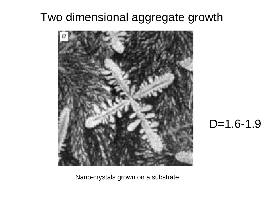

### D=1.6-1.9

Nano-crystals grown on a substrate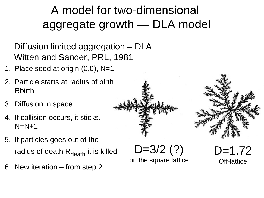## A model for two-dimensional aggregate growth — DLA model

Diffusion limited aggregation – DLA Witten and Sander, PRL, 1981

- 1. Place seed at origin (0,0), N=1
- 2. Particle starts at radius of birth Rbirth
- 3. Diffusion in space
- 4. If collision occurs, it sticks.  $N=N+1$
- 5. If particles goes out of the radius of death  $R_{death}$  it is killed
- 6. New iteration from step 2.

 $D=3/2(?)$ on the square lattice

D=1.72

Off-lattice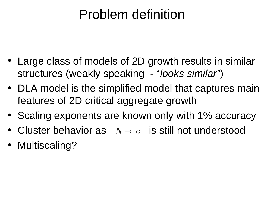## Problem definition

- Large class of models of 2D growth results in similar structures (weakly speaking - "*looks similar"*)
- DLA model is the simplified model that captures main features of 2D critical aggregate growth
- Scaling exponents are known only with 1% accuracy
- Cluster behavior as  $N\rightarrow\infty$  is still not understood
- Multiscaling?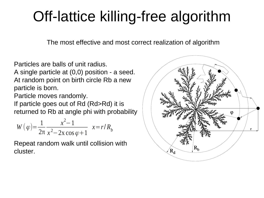## Off-lattice killing-free algorithm

The most effective and most correct realization of algorithm

Particles are balls of unit radius.

A single particle at (0,0) position - a seed. At random point on birth circle Rb a new particle is born.

Particle moves randomly.

If particle goes out of Rd (Rd>Rd) it is returned to Rb at angle phi with probability

$$
W(\varphi) = \frac{1}{2\pi} \frac{x^2 - 1}{x^2 - 2x\cos\varphi + 1} \quad x = r/R_b
$$

Repeat random walk until collision with cluster.

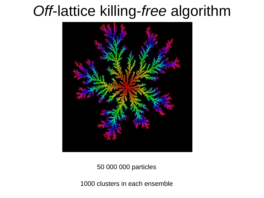## *Off*-lattice killing-*free* algorithm



50 000 000 particles

1000 clusters in each ensemble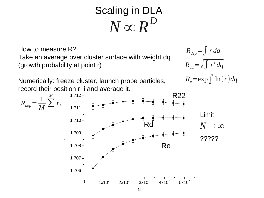## Scaling in DLA  $\stackrel{\textstyle\phantom{.}}{N}\propto\stackrel{\textstyle\phantom{.}}{R}^D$

How to measure R? Take an average over cluster surface with weight dq (growth probability at point r)

Numerically: freeze cluster, launch probe particles, record their position r\_i and average it.

$$
R_{dep} = \int r \, dq
$$
  
\n
$$
R_{22} = \sqrt{\int r^2 \, dq}
$$
  
\n
$$
R_e = \exp \int \ln(r) \, dq
$$

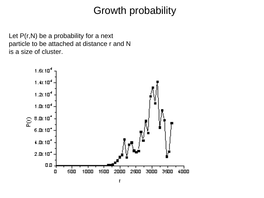### Growth probability

Let  $P(r,N)$  be a probability for a next particle to be attached at distance r and N is a size of cluster.

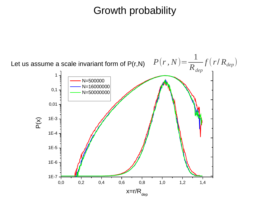### Growth probability

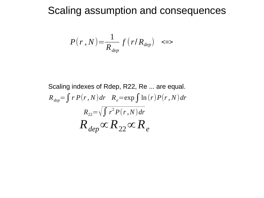#### Scaling assumption and consequences

$$
P(r, N) = \frac{1}{R_{dep}} f(r/R_{dep}) \quad \text{>}
$$

Scaling indexes of Rdep, R22, Re ... are equal.  $R_{dep} = \int r P(r, N) dr$   $R_e = \exp \int \ln (r) P(r, N) dr$  $R_{22}$ = $\sqrt{\int r^2 P(r,N) dr}$  $R$ <sub>dep</sub>∝ $R$ <sub>22</sub>∝ $R$ <sub>e</sub>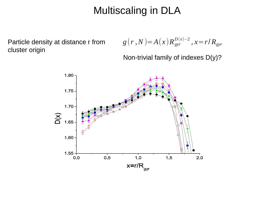### Multiscaling in DLA

**Particle density at distance r from** cluster origin

$$
g(r\,,N)=A(x)R_{gyr}^{D(x)-2}\,,x\!=\!r/R_{gyr}
$$

Non-trivial family of indexes D(y)?

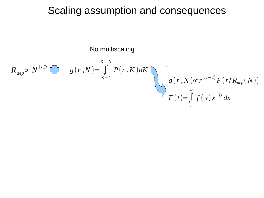#### Scaling assumption and consequences

No multiscaling

$$
R_{dep} \propto N^{1/D} \sum g(r, N) = \int_{K=1}^{K=N} P(r, K) dK
$$
  

$$
g(r, N) \propto r^{(D-2)} F(r/R_{dep}(N))
$$
  

$$
F(t) = \int_{t}^{\infty} f(x) x^{-D} dx
$$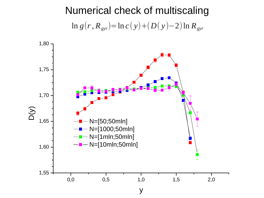Numerical check of multiscaling ln *g*(*r, Rgyr*)=ln *c* ( *y*)+(*D*( *y* )−2)ln *Rgyr*

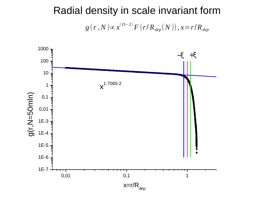### Radial density in scale invariant form  $g\left(\textit{r}\ ,N\ \right)\propto$   $\chi^{(D-2)}F\left(\textit{r}/\ \scriptstyle{R}_{dep} \right)\left(\textit{N}\ \right)\right),$   $\chi$   $=$   $\textit{r}/\ \scriptstyle{R}_{dep}$

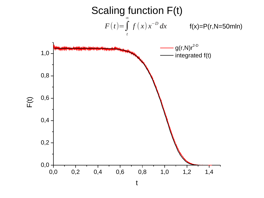